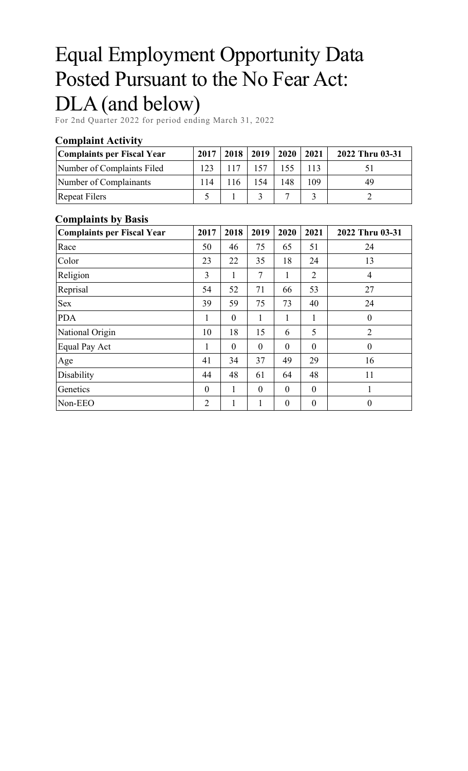# Equal Employment Opportunity Data Posted Pursuant to the No Fear Act: DLA (and below)

For 2nd Quarter 2022 for period ending March 31, 2022

#### **Complaint Activity**

| Complaints per Fiscal Year | 2017 | $2018$   2019 |     | 2020 2021 |     | 2022 Thru 03-31 |
|----------------------------|------|---------------|-----|-----------|-----|-----------------|
| Number of Complaints Filed | 123  | 117           |     |           |     |                 |
| Number of Complainants     | 114  |               | 154 | 148       | 109 | 49              |
| <b>Repeat Filers</b>       |      |               |     |           |     |                 |

#### **Complaints by Basis**

| <b>Complaints per Fiscal Year</b> | 2017           | 2018           | 2019     | 2020           | 2021             | 2022 Thru 03-31  |
|-----------------------------------|----------------|----------------|----------|----------------|------------------|------------------|
| Race                              | 50             | 46             | 75       | 65             | 51               | 24               |
| Color                             | 23             | 22             | 35       | 18             | 24               | 13               |
| Religion                          | 3              | 1              | 7        | 1              | $\overline{2}$   | $\overline{4}$   |
| Reprisal                          | 54             | 52             | 71       | 66             | 53               | 27               |
| <b>Sex</b>                        | 39             | 59             | 75       | 73             | 40               | 24               |
| <b>PDA</b>                        | 1              | $\overline{0}$ | 1        | 1              | 1                | $\theta$         |
| National Origin                   | 10             | 18             | 15       | 6              | 5                | $\overline{2}$   |
| Equal Pay Act                     | 1              | $\overline{0}$ | $\theta$ | $\overline{0}$ | $\overline{0}$   | $\boldsymbol{0}$ |
| Age                               | 41             | 34             | 37       | 49             | 29               | 16               |
| Disability                        | 44             | 48             | 61       | 64             | 48               | 11               |
| Genetics                          | $\theta$       | 1              | $\theta$ | $\theta$       | $\overline{0}$   | $\mathbf{1}$     |
| Non-EEO                           | $\overline{2}$ | 1              |          | $\theta$       | $\boldsymbol{0}$ | $\overline{0}$   |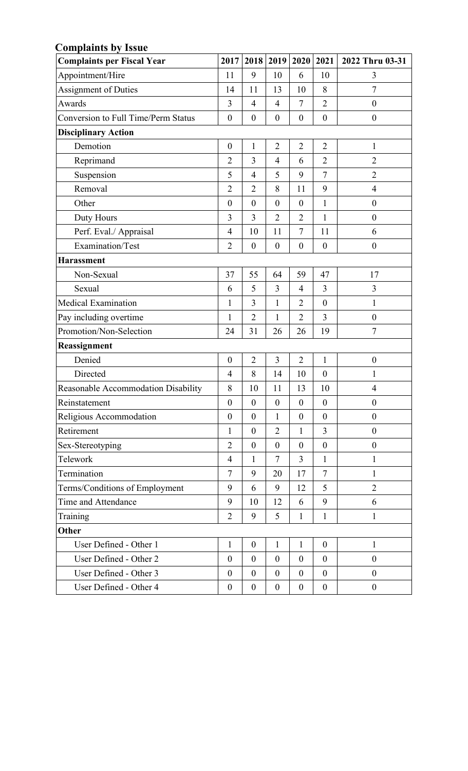| <b>Complaints by Issue</b>                 |                  |                  |                  |                  |                  |                  |
|--------------------------------------------|------------------|------------------|------------------|------------------|------------------|------------------|
| <b>Complaints per Fiscal Year</b>          | 2017             | 2018             | 2019             | 2020             | 2021             | 2022 Thru 03-31  |
| Appointment/Hire                           | 11               | 9                | 10               | 6                | 10               | 3                |
| <b>Assignment of Duties</b>                | 14               | 11               | 13               | 10               | 8                | $\overline{7}$   |
| Awards                                     | 3                | $\overline{4}$   | $\overline{4}$   | $\overline{7}$   | $\overline{2}$   | $\theta$         |
| <b>Conversion to Full Time/Perm Status</b> | $\boldsymbol{0}$ | $\boldsymbol{0}$ | $\boldsymbol{0}$ | $\boldsymbol{0}$ | $\boldsymbol{0}$ | $\boldsymbol{0}$ |
| <b>Disciplinary Action</b>                 |                  |                  |                  |                  |                  |                  |
| Demotion                                   | $\boldsymbol{0}$ | $\mathbf{1}$     | $\overline{2}$   | $\overline{2}$   | $\overline{2}$   | $\mathbf{1}$     |
| Reprimand                                  | $\overline{2}$   | 3                | $\overline{4}$   | 6                | $\overline{2}$   | $\overline{2}$   |
| Suspension                                 | 5                | $\overline{4}$   | 5                | 9                | $\overline{7}$   | $\overline{2}$   |
| Removal                                    | $\overline{2}$   | $\overline{2}$   | 8                | 11               | 9                | $\overline{4}$   |
| Other                                      | $\boldsymbol{0}$ | $\boldsymbol{0}$ | $\boldsymbol{0}$ | $\boldsymbol{0}$ | $\mathbf{1}$     | $\boldsymbol{0}$ |
| Duty Hours                                 | 3                | 3                | $\overline{2}$   | $\overline{2}$   | $\mathbf{1}$     | $\boldsymbol{0}$ |
| Perf. Eval./ Appraisal                     | $\overline{4}$   | 10               | 11               | $\tau$           | 11               | 6                |
| Examination/Test                           | $\overline{2}$   | $\boldsymbol{0}$ | $\boldsymbol{0}$ | $\boldsymbol{0}$ | $\boldsymbol{0}$ | $\overline{0}$   |
| <b>Harassment</b>                          |                  |                  |                  |                  |                  |                  |
| Non-Sexual                                 | 37               | 55               | 64               | 59               | 47               | 17               |
| Sexual                                     | 6                | 5                | 3                | $\overline{4}$   | 3                | 3                |
| Medical Examination                        | 1                | 3                | $\mathbf{1}$     | $\overline{2}$   | $\boldsymbol{0}$ | $\mathbf{1}$     |
| Pay including overtime                     | $\mathbf{1}$     | $\overline{2}$   | $\mathbf{1}$     | $\overline{2}$   | 3                | $\boldsymbol{0}$ |
| Promotion/Non-Selection                    | 24               | 31               | 26               | 26               | 19               | 7                |
| Reassignment                               |                  |                  |                  |                  |                  |                  |
| Denied                                     | $\boldsymbol{0}$ | $\overline{2}$   | 3                | $\overline{2}$   | $\mathbf{1}$     | $\boldsymbol{0}$ |
| Directed                                   | 4                | 8                | 14               | 10               | $\boldsymbol{0}$ | 1                |
| Reasonable Accommodation Disability        | 8                | 10               | 11               | 13               | 10               | $\overline{4}$   |
| Reinstatement                              | $\theta$         | $\mathbf{0}$     | $\boldsymbol{0}$ | $\mathbf{0}$     | $\boldsymbol{0}$ | $\boldsymbol{0}$ |
| Religious Accommodation                    | $\boldsymbol{0}$ | $\boldsymbol{0}$ | $\mathbf{1}$     | $\boldsymbol{0}$ | $\mathbf{0}$     | $\boldsymbol{0}$ |
| Retirement                                 | $\mathbf{1}$     | $\boldsymbol{0}$ | $\overline{2}$   | $\mathbf{1}$     | $\overline{3}$   | $\boldsymbol{0}$ |
| Sex-Stereotyping                           | $\overline{2}$   | $\boldsymbol{0}$ | $\boldsymbol{0}$ | $\mathbf{0}$     | $\boldsymbol{0}$ | $\boldsymbol{0}$ |
| Telework                                   | $\overline{4}$   | $\mathbf{1}$     | $\tau$           | 3                | $\mathbf{1}$     | 1                |
| Termination                                | 7                | 9                | 20               | 17               | $\tau$           | 1                |
| Terms/Conditions of Employment             | 9                | 6                | 9                | 12               | 5                | $\overline{2}$   |
| Time and Attendance                        | 9                | 10               | 12               | 6                | 9                | 6                |
| Training                                   | $\overline{2}$   | 9                | 5                | 1                | $\mathbf{1}$     | 1                |
| Other                                      |                  |                  |                  |                  |                  |                  |
| User Defined - Other 1                     | $\mathbf{1}$     | $\boldsymbol{0}$ | $\mathbf{1}$     | $\mathbf{1}$     | $\boldsymbol{0}$ | $\mathbf{1}$     |
| User Defined - Other 2                     | $\boldsymbol{0}$ | $\boldsymbol{0}$ | $\boldsymbol{0}$ | $\mathbf{0}$     | $\mathbf{0}$     | $\boldsymbol{0}$ |
| User Defined - Other 3                     | $\boldsymbol{0}$ | $\boldsymbol{0}$ | $\boldsymbol{0}$ | $\mathbf{0}$     | $\mathbf{0}$     | $\overline{0}$   |
| User Defined - Other 4                     | $\boldsymbol{0}$ | $\boldsymbol{0}$ | $\boldsymbol{0}$ | $\boldsymbol{0}$ | $\boldsymbol{0}$ | $\overline{0}$   |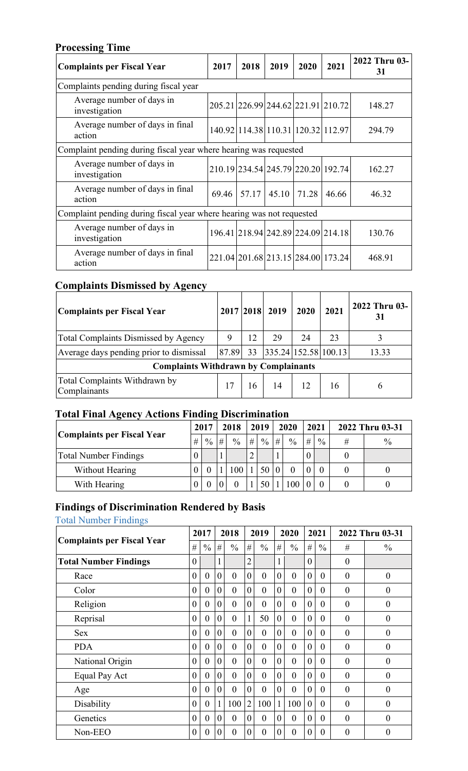## **Processing Time**

| <b>Complaints per Fiscal Year</b>                                    | 2017  | 2018  | 2019                               | 2020  | 2021  | 2022 Thru 03-<br>31 |
|----------------------------------------------------------------------|-------|-------|------------------------------------|-------|-------|---------------------|
| Complaints pending during fiscal year                                |       |       |                                    |       |       |                     |
| Average number of days in<br>investigation                           |       |       | 205.21 226.99 244.62 221.91 210.72 |       |       | 148.27              |
| Average number of days in final<br>action                            |       |       | 140.92 114.38 110.31 120.32 112.97 |       |       | 294.79              |
| Complaint pending during fiscal year where hearing was requested     |       |       |                                    |       |       |                     |
| Average number of days in<br>investigation                           |       |       | 210.19 234.54 245.79 220.20 192.74 |       |       | 162.27              |
| Average number of days in final<br>action                            | 69.46 | 57.17 | 45.10                              | 71.28 | 46.66 | 46.32               |
| Complaint pending during fiscal year where hearing was not requested |       |       |                                    |       |       |                     |
| Average number of days in<br>investigation                           |       |       | 196.41 218.94 242.89 224.09 214.18 |       |       | 130.76              |
| Average number of days in final<br>action                            |       |       | 221.04 201.68 213.15 284.00 173.24 |       |       | 468.91              |

# **Complaints Dismissed by Agency**

| Complaints per Fiscal Year                    |       |    | 2017 2018 2019       | 2020 | 2021 | 2022 Thru 03-<br>31 |
|-----------------------------------------------|-------|----|----------------------|------|------|---------------------|
| <b>Total Complaints Dismissed by Agency</b>   | 9     | 12 | 29                   | 24   | 23   |                     |
| Average days pending prior to dismissal       | 87.89 | 33 | 335.24 152.58 100.13 |      |      | 13.33               |
| <b>Complaints Withdrawn by Complainants</b>   |       |    |                      |      |      |                     |
| Total Complaints Withdrawn by<br>Complainants | 17    | 16 | 14                   | 12.  | 16   |                     |

# **Total Final Agency Actions Finding Discrimination**

|                            |   | 2017        |   | 2018          |   | 2019          |   | 2020          |   | 2021          | 2022 Thru 03-31 |               |
|----------------------------|---|-------------|---|---------------|---|---------------|---|---------------|---|---------------|-----------------|---------------|
| Complaints per Fiscal Year | # | $^{0}/_{0}$ | # | $\frac{0}{0}$ | # | $\frac{0}{0}$ | # | $\frac{0}{0}$ | # | $\frac{0}{0}$ | #               | $\frac{0}{0}$ |
| Total Number Findings      |   |             |   |               |   |               |   |               |   |               |                 |               |
| Without Hearing            |   |             |   |               |   | 50            |   |               |   |               |                 |               |
| With Hearing               |   |             |   |               |   |               |   | 100           |   |               |                 |               |

## **Findings of Discrimination Rendered by Basis**

Total Number Findings

|                                   |                | 2017           |                | 2018           |                | 2019           |                | 2020           |                | 2021           |                | 2022 Thru 03-31  |
|-----------------------------------|----------------|----------------|----------------|----------------|----------------|----------------|----------------|----------------|----------------|----------------|----------------|------------------|
| <b>Complaints per Fiscal Year</b> | #              | $\frac{0}{0}$  | #              | $\frac{0}{0}$  | #              | $\frac{0}{0}$  | #              | $\frac{0}{0}$  | #              | $\frac{0}{0}$  | #              | $\frac{0}{0}$    |
| <b>Total Number Findings</b>      | $\overline{0}$ |                |                |                | $\overline{2}$ |                | $\mathbf{1}$   |                | $\theta$       |                | $\theta$       |                  |
| Race                              | $\overline{0}$ | $\overline{0}$ | $\overline{0}$ | $\theta$       | $\theta$       | $\theta$       | $\theta$       | $\overline{0}$ | $\overline{0}$ | $\overline{0}$ | $\overline{0}$ | $\boldsymbol{0}$ |
| Color                             | $\overline{0}$ | $\theta$       | $\theta$       | $\theta$       | $\theta$       | $\theta$       | $\theta$       | $\theta$       | $\theta$       | $\theta$       | $\theta$       | $\overline{0}$   |
| Religion                          | $\overline{0}$ | $\theta$       | $\overline{0}$ | $\overline{0}$ | $\theta$       | $\overline{0}$ | $\overline{0}$ | $\overline{0}$ | $\theta$       | $\overline{0}$ | $\overline{0}$ | $\boldsymbol{0}$ |
| Reprisal                          | $\overline{0}$ | $\theta$       | $\overline{0}$ | $\theta$       |                | 50             | $\theta$       | $\theta$       | $\theta$       | $\overline{0}$ | $\theta$       | $\overline{0}$   |
| <b>Sex</b>                        | $\theta$       | $\theta$       | $\overline{0}$ | $\theta$       | $\theta$       | $\theta$       | $\theta$       | $\theta$       | $\theta$       | $\theta$       | $\theta$       | $\boldsymbol{0}$ |
| <b>PDA</b>                        | $\theta$       | $\theta$       | $\theta$       | $\theta$       | $\theta$       | $\theta$       | $\theta$       | $\theta$       | $\theta$       | $\theta$       | $\theta$       | $\theta$         |
| National Origin                   | $\theta$       | $\theta$       | $\theta$       | $\theta$       | $\theta$       | $\theta$       | $\theta$       | $\theta$       | $\theta$       | $\theta$       | $\theta$       | $\boldsymbol{0}$ |
| Equal Pay Act                     | $\theta$       | $\theta$       | $\theta$       | $\theta$       | $\theta$       | $\theta$       | $\theta$       | $\theta$       | $\theta$       | $\theta$       | $\theta$       | $\theta$         |
| Age                               | $\theta$       | $\theta$       | $\overline{0}$ | $\theta$       | $\theta$       | $\theta$       | $\theta$       | $\theta$       | $\theta$       | $\theta$       | $\theta$       | $\overline{0}$   |
| Disability                        | $\theta$       | $\theta$       | 1              | 100            | $\overline{2}$ | 100            | $\mathbf{1}$   | 100            | $\theta$       | $\theta$       | $\theta$       | $\theta$         |
| Genetics                          | $\theta$       | $\theta$       | $\theta$       | $\theta$       | $\theta$       | $\theta$       | $\theta$       | $\theta$       | $\theta$       | $\theta$       | $\theta$       | $\overline{0}$   |
| Non-EEO                           | $\theta$       | $\overline{0}$ | $\theta$       | $\theta$       | $\theta$       | $\overline{0}$ | $\Omega$       | $\theta$       | $\Omega$       | $\theta$       | $\theta$       | $\overline{0}$   |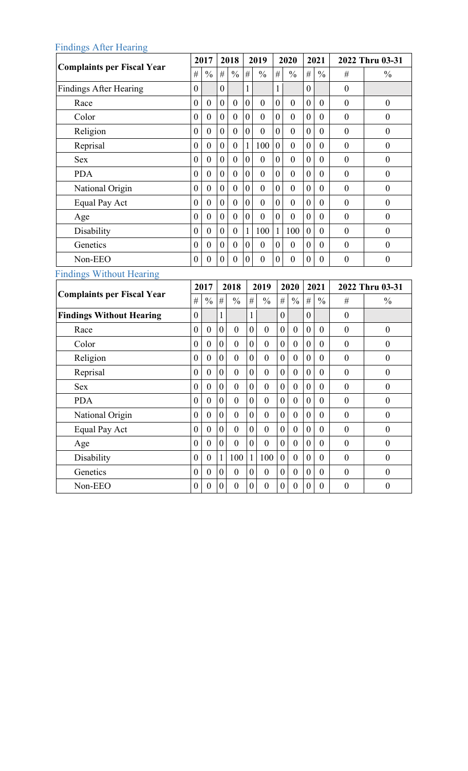## Findings After Hearing

|                                   |                  | 2017             |                  | 2018             |                  | 2019             |                  | 2020             |                  | 2021             |                  | 2022 Thru 03-31  |
|-----------------------------------|------------------|------------------|------------------|------------------|------------------|------------------|------------------|------------------|------------------|------------------|------------------|------------------|
| <b>Complaints per Fiscal Year</b> | $\#$             | $\frac{0}{0}$    | $\#$             | $\frac{0}{0}$    | #                | $\frac{0}{0}$    | $\#$             | $\frac{0}{0}$    | $\#$             | $\frac{0}{0}$    | #                | $\frac{0}{0}$    |
| <b>Findings After Hearing</b>     | $\boldsymbol{0}$ |                  | $\boldsymbol{0}$ |                  | 1                |                  | 1                |                  | $\boldsymbol{0}$ |                  | $\boldsymbol{0}$ |                  |
| Race                              | $\boldsymbol{0}$ | $\boldsymbol{0}$ | $\boldsymbol{0}$ | $\boldsymbol{0}$ | $\mathbf{0}$     | $\boldsymbol{0}$ | $\mathbf{0}$     | $\boldsymbol{0}$ | $\boldsymbol{0}$ | $\boldsymbol{0}$ | $\overline{0}$   | $\boldsymbol{0}$ |
| Color                             | $\boldsymbol{0}$ | $\boldsymbol{0}$ | $\boldsymbol{0}$ | $\boldsymbol{0}$ | $\overline{0}$   | $\boldsymbol{0}$ | $\mathbf{0}$     | $\boldsymbol{0}$ | $\boldsymbol{0}$ | $\theta$         | $\boldsymbol{0}$ | $\boldsymbol{0}$ |
| Religion                          | $\boldsymbol{0}$ | $\boldsymbol{0}$ | $\boldsymbol{0}$ | $\boldsymbol{0}$ | $\overline{0}$   | $\boldsymbol{0}$ | $\mathbf{0}$     | $\boldsymbol{0}$ | $\boldsymbol{0}$ | $\boldsymbol{0}$ | $\boldsymbol{0}$ | $\boldsymbol{0}$ |
| Reprisal                          | $\boldsymbol{0}$ | $\boldsymbol{0}$ | $\boldsymbol{0}$ | $\boldsymbol{0}$ | $\mathbf{1}$     | 100              | $\boldsymbol{0}$ | $\boldsymbol{0}$ | $\boldsymbol{0}$ | $\overline{0}$   | $\boldsymbol{0}$ | $\boldsymbol{0}$ |
| <b>Sex</b>                        | $\boldsymbol{0}$ | $\boldsymbol{0}$ | $\boldsymbol{0}$ | $\boldsymbol{0}$ | $\boldsymbol{0}$ | $\boldsymbol{0}$ | $\boldsymbol{0}$ | $\boldsymbol{0}$ | $\boldsymbol{0}$ | $\boldsymbol{0}$ | $\boldsymbol{0}$ | $\boldsymbol{0}$ |
| <b>PDA</b>                        | $\boldsymbol{0}$ | $\boldsymbol{0}$ | $\boldsymbol{0}$ | $\boldsymbol{0}$ | $\boldsymbol{0}$ | $\overline{0}$   | $\boldsymbol{0}$ | $\boldsymbol{0}$ | $\mathbf{0}$     | $\boldsymbol{0}$ | $\boldsymbol{0}$ | $\boldsymbol{0}$ |
| National Origin                   | $\boldsymbol{0}$ | $\boldsymbol{0}$ | $\boldsymbol{0}$ | $\boldsymbol{0}$ | $\boldsymbol{0}$ | $\boldsymbol{0}$ | $\boldsymbol{0}$ | $\boldsymbol{0}$ | $\boldsymbol{0}$ | $\boldsymbol{0}$ | $\boldsymbol{0}$ | $\boldsymbol{0}$ |
| Equal Pay Act                     | $\boldsymbol{0}$ | $\boldsymbol{0}$ | $\boldsymbol{0}$ | $\boldsymbol{0}$ | $\boldsymbol{0}$ | $\boldsymbol{0}$ | $\boldsymbol{0}$ | $\boldsymbol{0}$ | $\boldsymbol{0}$ | $\boldsymbol{0}$ | $\boldsymbol{0}$ | $\boldsymbol{0}$ |
| Age                               | $\boldsymbol{0}$ | $\boldsymbol{0}$ | $\boldsymbol{0}$ | $\boldsymbol{0}$ | $\boldsymbol{0}$ | $\boldsymbol{0}$ | $\boldsymbol{0}$ | $\boldsymbol{0}$ | $\boldsymbol{0}$ | $\overline{0}$   | $\overline{0}$   | $\boldsymbol{0}$ |
| Disability                        | $\boldsymbol{0}$ | $\boldsymbol{0}$ | $\boldsymbol{0}$ | $\boldsymbol{0}$ | $\mathbf{1}$     | 100              | $\mathbf{1}$     | 100              | $\boldsymbol{0}$ | $\boldsymbol{0}$ | $\boldsymbol{0}$ | $\boldsymbol{0}$ |
| Genetics                          | $\boldsymbol{0}$ | $\boldsymbol{0}$ | $\boldsymbol{0}$ | $\boldsymbol{0}$ | $\boldsymbol{0}$ | $\boldsymbol{0}$ | $\mathbf{0}$     | $\boldsymbol{0}$ | $\boldsymbol{0}$ | $\boldsymbol{0}$ | $\boldsymbol{0}$ | $\boldsymbol{0}$ |
| Non-EEO                           | $\boldsymbol{0}$ | $\boldsymbol{0}$ | $\boldsymbol{0}$ | $\boldsymbol{0}$ | $\overline{0}$   | $\boldsymbol{0}$ | $\mathbf{0}$     | $\boldsymbol{0}$ | $\boldsymbol{0}$ | $\boldsymbol{0}$ | $\boldsymbol{0}$ | $\boldsymbol{0}$ |
|                                   |                  |                  |                  |                  |                  |                  |                  |                  |                  |                  |                  |                  |
| <b>Findings Without Hearing</b>   |                  |                  |                  |                  |                  |                  |                  |                  |                  |                  |                  |                  |
|                                   |                  | 2017             |                  | 2018             |                  | 2019             |                  | 2020             |                  | 2021             |                  | 2022 Thru 03-31  |
| <b>Complaints per Fiscal Year</b> | $\#$             | $\frac{0}{0}$    | $\#$             | $\frac{0}{0}$    | #                | $\frac{0}{0}$    | $\#$             | $\frac{0}{0}$    | $\#$             | $\frac{0}{0}$    | $\#$             | $\frac{0}{0}$    |
| <b>Findings Without Hearing</b>   | $\boldsymbol{0}$ |                  | $\mathbf{1}$     |                  | 1                |                  | $\boldsymbol{0}$ |                  | $\boldsymbol{0}$ |                  | $\boldsymbol{0}$ |                  |
| Race                              | $\boldsymbol{0}$ | $\boldsymbol{0}$ | $\boldsymbol{0}$ | $\boldsymbol{0}$ | $\boldsymbol{0}$ | $\boldsymbol{0}$ | $\boldsymbol{0}$ | $\boldsymbol{0}$ | $\boldsymbol{0}$ | $\boldsymbol{0}$ | $\boldsymbol{0}$ | $\boldsymbol{0}$ |
| Color                             | $\boldsymbol{0}$ | $\boldsymbol{0}$ | $\boldsymbol{0}$ | $\boldsymbol{0}$ | $\boldsymbol{0}$ | $\boldsymbol{0}$ | $\boldsymbol{0}$ | $\boldsymbol{0}$ | $\boldsymbol{0}$ | $\boldsymbol{0}$ | $\boldsymbol{0}$ | $\boldsymbol{0}$ |
| Religion                          | $\boldsymbol{0}$ | $\boldsymbol{0}$ | $\boldsymbol{0}$ | $\boldsymbol{0}$ | $\boldsymbol{0}$ | $\boldsymbol{0}$ | $\boldsymbol{0}$ | $\boldsymbol{0}$ | $\boldsymbol{0}$ | $\boldsymbol{0}$ | $\boldsymbol{0}$ | $\boldsymbol{0}$ |
| Reprisal                          | $\boldsymbol{0}$ | $\boldsymbol{0}$ | $\boldsymbol{0}$ | $\boldsymbol{0}$ | $\boldsymbol{0}$ | $\boldsymbol{0}$ | $\boldsymbol{0}$ | $\boldsymbol{0}$ | $\boldsymbol{0}$ | $\boldsymbol{0}$ | $\boldsymbol{0}$ | $\boldsymbol{0}$ |
| <b>Sex</b>                        | $\boldsymbol{0}$ | $\boldsymbol{0}$ | $\boldsymbol{0}$ | $\boldsymbol{0}$ | $\boldsymbol{0}$ | $\boldsymbol{0}$ | $\boldsymbol{0}$ | $\boldsymbol{0}$ | $\boldsymbol{0}$ | $\boldsymbol{0}$ | $\boldsymbol{0}$ | $\boldsymbol{0}$ |
| <b>PDA</b>                        | $\boldsymbol{0}$ | $\boldsymbol{0}$ | $\boldsymbol{0}$ | $\boldsymbol{0}$ | $\boldsymbol{0}$ | $\boldsymbol{0}$ | $\boldsymbol{0}$ | $\boldsymbol{0}$ | $\boldsymbol{0}$ | $\boldsymbol{0}$ | $\boldsymbol{0}$ | $\boldsymbol{0}$ |
| National Origin                   | $\boldsymbol{0}$ | $\mathbf{0}$     | $\overline{0}$   | $\boldsymbol{0}$ | $\mathbf{0}$     | $\boldsymbol{0}$ | $\overline{0}$   | $\mathbf{0}$     | $\boldsymbol{0}$ | $\boldsymbol{0}$ | $\mathbf{0}$     | $\boldsymbol{0}$ |
| Equal Pay Act                     | $\boldsymbol{0}$ | $\mathbf{0}$     | $\overline{0}$   | $\boldsymbol{0}$ | $\overline{0}$   | $\boldsymbol{0}$ | $\boldsymbol{0}$ | $\overline{0}$   | $\overline{0}$   | $\boldsymbol{0}$ | $\mathbf{0}$     | $\boldsymbol{0}$ |
| Age                               | $\boldsymbol{0}$ | $\boldsymbol{0}$ | $\overline{0}$   | $\mathbf{0}$     | $\overline{0}$   | $\boldsymbol{0}$ | $\overline{0}$   | $\boldsymbol{0}$ | $\overline{0}$   | $\boldsymbol{0}$ | $\boldsymbol{0}$ | $\boldsymbol{0}$ |
| Disability                        | $\boldsymbol{0}$ | $\boldsymbol{0}$ | $\mathbf{1}$     | 100              | $\mathbf{1}$     | 100              | $\overline{0}$   | $\overline{0}$   | $\boldsymbol{0}$ | $\overline{0}$   | $\boldsymbol{0}$ | $\boldsymbol{0}$ |
| Genetics                          | $\boldsymbol{0}$ | $\overline{0}$   | $\overline{0}$   | $\mathbf{0}$     | $\overline{0}$   | $\boldsymbol{0}$ | $\overline{0}$   | $\overline{0}$   | $\overline{0}$   | $\overline{0}$   | $\boldsymbol{0}$ | $\boldsymbol{0}$ |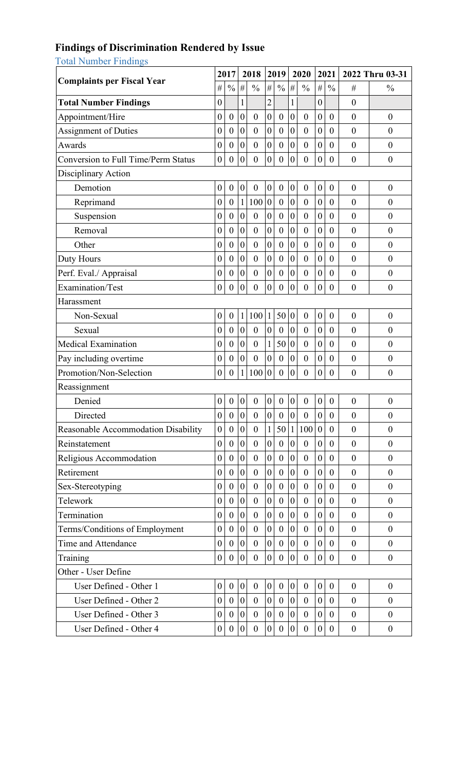#### **Findings of Discrimination Rendered by Issue**

Total Number Findings

|                                            |                  | 2017             |                  | 2018             |                  | 2019             |                  | 2020             |                  | 2021             |                  | 2022 Thru 03-31  |
|--------------------------------------------|------------------|------------------|------------------|------------------|------------------|------------------|------------------|------------------|------------------|------------------|------------------|------------------|
| <b>Complaints per Fiscal Year</b>          | $\#$             | $\frac{0}{0}$    | #                | $\frac{0}{0}$    | $\#$             | $\frac{0}{0}$    | #                | $\frac{0}{0}$    | $\#$             | $\frac{0}{0}$    | #                | $\frac{0}{0}$    |
| <b>Total Number Findings</b>               | $\boldsymbol{0}$ |                  | $\mathbf{1}$     |                  | $\overline{2}$   |                  | $\mathbf{1}$     |                  | $\boldsymbol{0}$ |                  | $\boldsymbol{0}$ |                  |
| Appointment/Hire                           | $\boldsymbol{0}$ | $\boldsymbol{0}$ | $\boldsymbol{0}$ | $\boldsymbol{0}$ | $\boldsymbol{0}$ | $\boldsymbol{0}$ | $\boldsymbol{0}$ | $\boldsymbol{0}$ | $\boldsymbol{0}$ | $\boldsymbol{0}$ | $\boldsymbol{0}$ | $\boldsymbol{0}$ |
| <b>Assignment of Duties</b>                | $\boldsymbol{0}$ | $\boldsymbol{0}$ | $\boldsymbol{0}$ | $\boldsymbol{0}$ | $\boldsymbol{0}$ | $\boldsymbol{0}$ | $\boldsymbol{0}$ | $\boldsymbol{0}$ | $\boldsymbol{0}$ | $\boldsymbol{0}$ | $\boldsymbol{0}$ | $\overline{0}$   |
| Awards                                     | $\boldsymbol{0}$ | $\boldsymbol{0}$ | $\boldsymbol{0}$ | $\boldsymbol{0}$ | $\boldsymbol{0}$ | $\boldsymbol{0}$ | $\boldsymbol{0}$ | $\boldsymbol{0}$ | $\boldsymbol{0}$ | $\boldsymbol{0}$ | $\boldsymbol{0}$ | $\boldsymbol{0}$ |
| <b>Conversion to Full Time/Perm Status</b> | $\boldsymbol{0}$ | $\boldsymbol{0}$ | $\boldsymbol{0}$ | $\boldsymbol{0}$ | $\boldsymbol{0}$ | $\boldsymbol{0}$ | $\boldsymbol{0}$ | $\overline{0}$   | $\boldsymbol{0}$ | $\overline{0}$   | $\boldsymbol{0}$ | $\boldsymbol{0}$ |
| Disciplinary Action                        |                  |                  |                  |                  |                  |                  |                  |                  |                  |                  |                  |                  |
| Demotion                                   | $\boldsymbol{0}$ | $\boldsymbol{0}$ | $\boldsymbol{0}$ | $\boldsymbol{0}$ | $\boldsymbol{0}$ | $\boldsymbol{0}$ | $\boldsymbol{0}$ | $\boldsymbol{0}$ | $\boldsymbol{0}$ | $\boldsymbol{0}$ | $\boldsymbol{0}$ | $\boldsymbol{0}$ |
| Reprimand                                  | $\boldsymbol{0}$ | $\boldsymbol{0}$ | $\mathbf{1}$     | 100              | $\boldsymbol{0}$ | $\boldsymbol{0}$ | $\boldsymbol{0}$ | $\boldsymbol{0}$ | $\boldsymbol{0}$ | $\boldsymbol{0}$ | $\boldsymbol{0}$ | $\boldsymbol{0}$ |
| Suspension                                 | $\boldsymbol{0}$ | $\boldsymbol{0}$ | $\overline{0}$   | $\mathbf{0}$     | $\boldsymbol{0}$ | $\boldsymbol{0}$ | $\boldsymbol{0}$ | $\boldsymbol{0}$ | $\boldsymbol{0}$ | $\boldsymbol{0}$ | $\overline{0}$   | $\mathbf{0}$     |
| Removal                                    | $\boldsymbol{0}$ | $\boldsymbol{0}$ | $\boldsymbol{0}$ | $\boldsymbol{0}$ | $\boldsymbol{0}$ | $\boldsymbol{0}$ | $\boldsymbol{0}$ | $\mathbf{0}$     | $\boldsymbol{0}$ | $\boldsymbol{0}$ | $\boldsymbol{0}$ | $\boldsymbol{0}$ |
| Other                                      | $\boldsymbol{0}$ | $\boldsymbol{0}$ | $\boldsymbol{0}$ | $\boldsymbol{0}$ | $\boldsymbol{0}$ | $\boldsymbol{0}$ | $\boldsymbol{0}$ | $\boldsymbol{0}$ | $\boldsymbol{0}$ | $\boldsymbol{0}$ | $\overline{0}$   | $\overline{0}$   |
| Duty Hours                                 | $\boldsymbol{0}$ | $\boldsymbol{0}$ | $\boldsymbol{0}$ | $\boldsymbol{0}$ | $\boldsymbol{0}$ | $\boldsymbol{0}$ | $\boldsymbol{0}$ | $\boldsymbol{0}$ | $\boldsymbol{0}$ | $\boldsymbol{0}$ | $\boldsymbol{0}$ | $\boldsymbol{0}$ |
| Perf. Eval./ Appraisal                     | $\boldsymbol{0}$ | $\boldsymbol{0}$ | $\boldsymbol{0}$ | $\boldsymbol{0}$ | $\boldsymbol{0}$ | $\boldsymbol{0}$ | $\boldsymbol{0}$ | $\boldsymbol{0}$ | $\boldsymbol{0}$ | $\boldsymbol{0}$ | $\boldsymbol{0}$ | $\boldsymbol{0}$ |
| <b>Examination/Test</b>                    | $\boldsymbol{0}$ | $\overline{0}$   | $\mathbf{0}$     | $\mathbf{0}$     | $\overline{0}$   | $\mathbf{0}$     | $\overline{0}$   | $\overline{0}$   | $\boldsymbol{0}$ | $\overline{0}$   | $\overline{0}$   | $\boldsymbol{0}$ |
| Harassment                                 |                  |                  |                  |                  |                  |                  |                  |                  |                  |                  |                  |                  |
| Non-Sexual                                 | $\boldsymbol{0}$ | $\boldsymbol{0}$ | $\mathbf{1}$     | 100              | 1                | 50               | $\boldsymbol{0}$ | $\boldsymbol{0}$ | $\boldsymbol{0}$ | $\boldsymbol{0}$ | $\boldsymbol{0}$ | $\boldsymbol{0}$ |
| Sexual                                     | $\boldsymbol{0}$ | $\boldsymbol{0}$ | $\boldsymbol{0}$ | $\boldsymbol{0}$ | $\boldsymbol{0}$ | $\boldsymbol{0}$ | $\boldsymbol{0}$ | $\boldsymbol{0}$ | $\boldsymbol{0}$ | $\boldsymbol{0}$ | $\boldsymbol{0}$ | $\overline{0}$   |
| Medical Examination                        | $\boldsymbol{0}$ | $\boldsymbol{0}$ | $\boldsymbol{0}$ | $\boldsymbol{0}$ | $\mathbf{1}$     | 50               | $\boldsymbol{0}$ | $\boldsymbol{0}$ | $\boldsymbol{0}$ | $\boldsymbol{0}$ | $\overline{0}$   | $\overline{0}$   |
| Pay including overtime                     | $\boldsymbol{0}$ | $\boldsymbol{0}$ | $\overline{0}$   | $\mathbf{0}$     | $\overline{0}$   | $\mathbf{0}$     | $\boldsymbol{0}$ | $\boldsymbol{0}$ | $\boldsymbol{0}$ | $\boldsymbol{0}$ | $\overline{0}$   | $\boldsymbol{0}$ |
| Promotion/Non-Selection                    | $\boldsymbol{0}$ | $\boldsymbol{0}$ | $\mathbf{1}$     | 100              | $\boldsymbol{0}$ | $\boldsymbol{0}$ | $\boldsymbol{0}$ | $\boldsymbol{0}$ | $\boldsymbol{0}$ | $\boldsymbol{0}$ | $\boldsymbol{0}$ | $\boldsymbol{0}$ |
| Reassignment                               |                  |                  |                  |                  |                  |                  |                  |                  |                  |                  |                  |                  |
| Denied                                     | $\boldsymbol{0}$ | $\boldsymbol{0}$ | $\boldsymbol{0}$ | $\boldsymbol{0}$ | $\mathbf{0}$     | $\boldsymbol{0}$ | $\boldsymbol{0}$ | $\boldsymbol{0}$ | $\boldsymbol{0}$ | $\boldsymbol{0}$ | $\boldsymbol{0}$ | $\boldsymbol{0}$ |
| Directed                                   | $\boldsymbol{0}$ | $\boldsymbol{0}$ | $\boldsymbol{0}$ | $\boldsymbol{0}$ | $\boldsymbol{0}$ | $\boldsymbol{0}$ | $\boldsymbol{0}$ | $\boldsymbol{0}$ | $\boldsymbol{0}$ | $\boldsymbol{0}$ | $\boldsymbol{0}$ | $\boldsymbol{0}$ |
| Reasonable Accommodation Disability        | $\boldsymbol{0}$ | $\boldsymbol{0}$ | $\boldsymbol{0}$ | $\boldsymbol{0}$ | 1                | 50               | 1                | 100              | $\mathbf{0}$     | $\overline{0}$   | $\overline{0}$   | $\overline{0}$   |
| Reinstatement                              | $\boldsymbol{0}$ | $\boldsymbol{0}$ | $\boldsymbol{0}$ | $\boldsymbol{0}$ | $\boldsymbol{0}$ | $\boldsymbol{0}$ | $\boldsymbol{0}$ | $\boldsymbol{0}$ | $\boldsymbol{0}$ | $\theta$         | $\boldsymbol{0}$ | $\boldsymbol{0}$ |
| Religious Accommodation                    | $\boldsymbol{0}$ | $\boldsymbol{0}$ | $\boldsymbol{0}$ | $\boldsymbol{0}$ | $\boldsymbol{0}$ | $\boldsymbol{0}$ | $\boldsymbol{0}$ | $\boldsymbol{0}$ | $\boldsymbol{0}$ | $\theta$         | $\overline{0}$   | $\overline{0}$   |
| Retirement                                 | $\boldsymbol{0}$ | $\boldsymbol{0}$ | $\boldsymbol{0}$ | $\boldsymbol{0}$ | $\boldsymbol{0}$ | $\boldsymbol{0}$ | $\boldsymbol{0}$ | $\boldsymbol{0}$ | $\boldsymbol{0}$ | $\boldsymbol{0}$ | $\boldsymbol{0}$ | $\boldsymbol{0}$ |
| Sex-Stereotyping                           | $\boldsymbol{0}$ | $\boldsymbol{0}$ | $\boldsymbol{0}$ | $\boldsymbol{0}$ | $\boldsymbol{0}$ | $\boldsymbol{0}$ | $\boldsymbol{0}$ | $\boldsymbol{0}$ | $\boldsymbol{0}$ | $\boldsymbol{0}$ | $\boldsymbol{0}$ | $\boldsymbol{0}$ |
| Telework                                   | $\boldsymbol{0}$ | $\boldsymbol{0}$ | $\overline{0}$   | $\mathbf{0}$     | $\overline{0}$   | $\boldsymbol{0}$ | $\boldsymbol{0}$ | $\boldsymbol{0}$ | $\boldsymbol{0}$ | $\boldsymbol{0}$ | $\boldsymbol{0}$ | $\boldsymbol{0}$ |
| Termination                                | $\boldsymbol{0}$ | $\boldsymbol{0}$ | $\boldsymbol{0}$ | $\boldsymbol{0}$ | $\boldsymbol{0}$ | $\boldsymbol{0}$ | $\boldsymbol{0}$ | $\boldsymbol{0}$ | $\boldsymbol{0}$ | $\boldsymbol{0}$ | $\boldsymbol{0}$ | $\boldsymbol{0}$ |
| Terms/Conditions of Employment             | $\boldsymbol{0}$ | $\boldsymbol{0}$ | $\mathbf{0}$     | $\mathbf{0}$     | $\boldsymbol{0}$ | $\mathbf{0}$     | $\boldsymbol{0}$ | $\boldsymbol{0}$ | $\boldsymbol{0}$ | $\overline{0}$   | $\boldsymbol{0}$ | $\boldsymbol{0}$ |
| Time and Attendance                        | $\boldsymbol{0}$ | $\overline{0}$   | $\boldsymbol{0}$ | $\boldsymbol{0}$ | $\boldsymbol{0}$ | $\boldsymbol{0}$ | $\boldsymbol{0}$ | $\boldsymbol{0}$ | $\boldsymbol{0}$ | $\boldsymbol{0}$ | $\boldsymbol{0}$ | $\boldsymbol{0}$ |
| Training                                   | $\boldsymbol{0}$ | $\overline{0}$   | $\boldsymbol{0}$ | $\boldsymbol{0}$ | $\boldsymbol{0}$ | $\boldsymbol{0}$ | $\boldsymbol{0}$ | $\boldsymbol{0}$ | $\boldsymbol{0}$ | $\boldsymbol{0}$ | $\boldsymbol{0}$ | $\boldsymbol{0}$ |
| Other - User Define                        |                  |                  |                  |                  |                  |                  |                  |                  |                  |                  |                  |                  |
| User Defined - Other 1                     | $\boldsymbol{0}$ | $\boldsymbol{0}$ | $\boldsymbol{0}$ | $\boldsymbol{0}$ | $\boldsymbol{0}$ | $\boldsymbol{0}$ | $\boldsymbol{0}$ | $\boldsymbol{0}$ | $\boldsymbol{0}$ | $\boldsymbol{0}$ | $\boldsymbol{0}$ | $\boldsymbol{0}$ |
| User Defined - Other 2                     | $\boldsymbol{0}$ | $\boldsymbol{0}$ | $\boldsymbol{0}$ | $\boldsymbol{0}$ | $\boldsymbol{0}$ | $\boldsymbol{0}$ | $\boldsymbol{0}$ | $\boldsymbol{0}$ | $\boldsymbol{0}$ | $\boldsymbol{0}$ | $\boldsymbol{0}$ | $\overline{0}$   |
| User Defined - Other 3                     | $\boldsymbol{0}$ | $\boldsymbol{0}$ | $\boldsymbol{0}$ | $\boldsymbol{0}$ | $\boldsymbol{0}$ | $\boldsymbol{0}$ | $\boldsymbol{0}$ | $\boldsymbol{0}$ | $\boldsymbol{0}$ | $\boldsymbol{0}$ | $\boldsymbol{0}$ | $\boldsymbol{0}$ |
| User Defined - Other 4                     | $\boldsymbol{0}$ | $\boldsymbol{0}$ | $\boldsymbol{0}$ | $\boldsymbol{0}$ | $\boldsymbol{0}$ | $\boldsymbol{0}$ | $\boldsymbol{0}$ | $\boldsymbol{0}$ | $\boldsymbol{0}$ | $\boldsymbol{0}$ | $\boldsymbol{0}$ | $\boldsymbol{0}$ |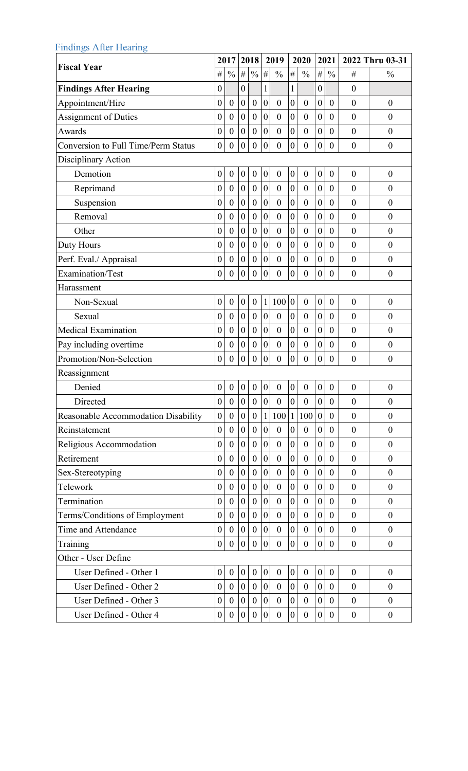| <b>Findings After Hearing</b>              |                  |                  |                  |                  |                  |                  |                  |                  |                  |                  |                  |                  |
|--------------------------------------------|------------------|------------------|------------------|------------------|------------------|------------------|------------------|------------------|------------------|------------------|------------------|------------------|
| <b>Fiscal Year</b>                         |                  | 2017             |                  | 2018             |                  | 2019             |                  | 2020             |                  | 2021             |                  | 2022 Thru 03-31  |
|                                            | $\#$             | $\frac{0}{0}$    | $\#$             | $\frac{0}{0}$    | #                | $\frac{0}{0}$    | #                | $\frac{0}{0}$    | $\#$             | $\frac{0}{0}$    | #                | $\frac{0}{0}$    |
| <b>Findings After Hearing</b>              | $\boldsymbol{0}$ |                  | $\overline{0}$   |                  | 1                |                  | $\mathbf{1}$     |                  | $\boldsymbol{0}$ |                  | $\overline{0}$   |                  |
| Appointment/Hire                           | $\boldsymbol{0}$ | $\boldsymbol{0}$ | $\boldsymbol{0}$ | $\boldsymbol{0}$ | $\boldsymbol{0}$ | $\boldsymbol{0}$ | $\overline{0}$   | $\boldsymbol{0}$ | $\boldsymbol{0}$ | $\overline{0}$   | $\overline{0}$   | $\boldsymbol{0}$ |
| <b>Assignment of Duties</b>                | $\boldsymbol{0}$ | $\boldsymbol{0}$ | $\boldsymbol{0}$ | $\boldsymbol{0}$ | $\boldsymbol{0}$ | $\boldsymbol{0}$ | $\boldsymbol{0}$ | $\boldsymbol{0}$ | $\boldsymbol{0}$ | $\overline{0}$   | $\overline{0}$   | $\overline{0}$   |
| Awards                                     | $\boldsymbol{0}$ | $\boldsymbol{0}$ | $\boldsymbol{0}$ | $\boldsymbol{0}$ | $\mathbf{0}$     | $\boldsymbol{0}$ | $\boldsymbol{0}$ | $\boldsymbol{0}$ | $\boldsymbol{0}$ | $\overline{0}$   | $\overline{0}$   | $\overline{0}$   |
| <b>Conversion to Full Time/Perm Status</b> | $\boldsymbol{0}$ | $\boldsymbol{0}$ | $\overline{0}$   | $\boldsymbol{0}$ | $\boldsymbol{0}$ | $\boldsymbol{0}$ | $\boldsymbol{0}$ | $\mathbf{0}$     | $\boldsymbol{0}$ | $\overline{0}$   | $\boldsymbol{0}$ | $\boldsymbol{0}$ |
| Disciplinary Action                        |                  |                  |                  |                  |                  |                  |                  |                  |                  |                  |                  |                  |
| Demotion                                   | $\boldsymbol{0}$ | $\boldsymbol{0}$ | $\boldsymbol{0}$ | $\boldsymbol{0}$ | $\boldsymbol{0}$ | $\boldsymbol{0}$ | 0                | $\boldsymbol{0}$ | $\boldsymbol{0}$ | $\boldsymbol{0}$ | $\boldsymbol{0}$ | $\boldsymbol{0}$ |
| Reprimand                                  | $\boldsymbol{0}$ | $\boldsymbol{0}$ | $\boldsymbol{0}$ | $\boldsymbol{0}$ | $\boldsymbol{0}$ | $\boldsymbol{0}$ | $\boldsymbol{0}$ | $\boldsymbol{0}$ | $\boldsymbol{0}$ | $\boldsymbol{0}$ | $\boldsymbol{0}$ | $\boldsymbol{0}$ |
| Suspension                                 | $\boldsymbol{0}$ | $\boldsymbol{0}$ | $\boldsymbol{0}$ | $\boldsymbol{0}$ | $\boldsymbol{0}$ | $\boldsymbol{0}$ | 0                | $\boldsymbol{0}$ | $\boldsymbol{0}$ | $\boldsymbol{0}$ | $\boldsymbol{0}$ | $\boldsymbol{0}$ |
| Removal                                    | $\boldsymbol{0}$ | $\boldsymbol{0}$ | $\boldsymbol{0}$ | $\boldsymbol{0}$ | $\boldsymbol{0}$ | $\boldsymbol{0}$ | $\pmb{0}$        | $\boldsymbol{0}$ | $\boldsymbol{0}$ | $\theta$         | $\overline{0}$   | $\boldsymbol{0}$ |
| Other                                      | $\boldsymbol{0}$ | $\boldsymbol{0}$ | $\boldsymbol{0}$ | $\boldsymbol{0}$ | $\boldsymbol{0}$ | $\boldsymbol{0}$ | $\boldsymbol{0}$ | $\boldsymbol{0}$ | $\boldsymbol{0}$ | $\overline{0}$   | $\overline{0}$   | $\overline{0}$   |
| Duty Hours                                 | $\boldsymbol{0}$ | $\boldsymbol{0}$ | $\boldsymbol{0}$ | $\boldsymbol{0}$ | $\boldsymbol{0}$ | $\boldsymbol{0}$ | $\boldsymbol{0}$ | $\boldsymbol{0}$ | $\boldsymbol{0}$ | $\overline{0}$   | $\overline{0}$   | $\overline{0}$   |
| Perf. Eval./ Appraisal                     | $\boldsymbol{0}$ | $\boldsymbol{0}$ | $\boldsymbol{0}$ | $\boldsymbol{0}$ | $\boldsymbol{0}$ | $\boldsymbol{0}$ | $\boldsymbol{0}$ | $\boldsymbol{0}$ | $\boldsymbol{0}$ | $\boldsymbol{0}$ | $\boldsymbol{0}$ | $\boldsymbol{0}$ |
| <b>Examination/Test</b>                    | $\boldsymbol{0}$ | $\boldsymbol{0}$ | $\boldsymbol{0}$ | $\boldsymbol{0}$ | $\boldsymbol{0}$ | $\boldsymbol{0}$ | $\overline{0}$   | $\overline{0}$   | $\boldsymbol{0}$ | $\theta$         | $\overline{0}$   | $\boldsymbol{0}$ |
| Harassment                                 |                  |                  |                  |                  |                  |                  |                  |                  |                  |                  |                  |                  |
| Non-Sexual                                 | $\boldsymbol{0}$ | $\boldsymbol{0}$ | $\boldsymbol{0}$ | $\boldsymbol{0}$ | $\mathbf{1}$     | 100              | $\boldsymbol{0}$ | $\boldsymbol{0}$ | $\boldsymbol{0}$ | $\boldsymbol{0}$ | $\overline{0}$   | $\boldsymbol{0}$ |
| Sexual                                     | $\boldsymbol{0}$ | $\boldsymbol{0}$ | $\boldsymbol{0}$ | $\boldsymbol{0}$ | $\boldsymbol{0}$ | $\boldsymbol{0}$ | $\boldsymbol{0}$ | $\boldsymbol{0}$ | $\boldsymbol{0}$ | $\overline{0}$   | $\overline{0}$   | $\overline{0}$   |
| Medical Examination                        | $\boldsymbol{0}$ | $\boldsymbol{0}$ | $\boldsymbol{0}$ | $\boldsymbol{0}$ | $\boldsymbol{0}$ | $\boldsymbol{0}$ | 0                | $\boldsymbol{0}$ | $\boldsymbol{0}$ | $\boldsymbol{0}$ | $\boldsymbol{0}$ | $\boldsymbol{0}$ |
| Pay including overtime                     | $\boldsymbol{0}$ | $\boldsymbol{0}$ | $\boldsymbol{0}$ | $\boldsymbol{0}$ | $\boldsymbol{0}$ | $\boldsymbol{0}$ | $\boldsymbol{0}$ | $\boldsymbol{0}$ | $\boldsymbol{0}$ | $\boldsymbol{0}$ | $\boldsymbol{0}$ | $\boldsymbol{0}$ |
| Promotion/Non-Selection                    | $\boldsymbol{0}$ | $\boldsymbol{0}$ | $\boldsymbol{0}$ | $\boldsymbol{0}$ | $\boldsymbol{0}$ | $\boldsymbol{0}$ | 0                | $\boldsymbol{0}$ | $\boldsymbol{0}$ | $\boldsymbol{0}$ | $\boldsymbol{0}$ | $\boldsymbol{0}$ |
| Reassignment                               |                  |                  |                  |                  |                  |                  |                  |                  |                  |                  |                  |                  |
| Denied                                     | $\boldsymbol{0}$ | $\boldsymbol{0}$ | $\boldsymbol{0}$ | $\boldsymbol{0}$ | $\boldsymbol{0}$ | $\boldsymbol{0}$ | $\boldsymbol{0}$ | $\boldsymbol{0}$ | $\boldsymbol{0}$ | $\boldsymbol{0}$ | $\overline{0}$   | $\boldsymbol{0}$ |
| Directed                                   | $\boldsymbol{0}$ | $\boldsymbol{0}$ | $\boldsymbol{0}$ | $\boldsymbol{0}$ | $\boldsymbol{0}$ | $\boldsymbol{0}$ | $\boldsymbol{0}$ | $\boldsymbol{0}$ | $\boldsymbol{0}$ | $\boldsymbol{0}$ | $\boldsymbol{0}$ | $\boldsymbol{0}$ |
| Reasonable Accommodation Disability        | $\boldsymbol{0}$ | $\boldsymbol{0}$ | $\overline{0}$   | $\boldsymbol{0}$ | $\mathbf{1}$     | 100              | $\mathbf{1}$     | 100              | $\boldsymbol{0}$ | $\boldsymbol{0}$ | $\overline{0}$   | $\boldsymbol{0}$ |
| Reinstatement                              | $\boldsymbol{0}$ | $\boldsymbol{0}$ | $\boldsymbol{0}$ | $\boldsymbol{0}$ | $\boldsymbol{0}$ | $\boldsymbol{0}$ | $\overline{0}$   | $\boldsymbol{0}$ | $\boldsymbol{0}$ | $\theta$         | $\boldsymbol{0}$ | $\boldsymbol{0}$ |
| Religious Accommodation                    | $\boldsymbol{0}$ | $\boldsymbol{0}$ | $\overline{0}$   | $\boldsymbol{0}$ | $\mathbf{0}$     | $\boldsymbol{0}$ | $\overline{0}$   | $\boldsymbol{0}$ | $\boldsymbol{0}$ | $\mathbf{0}$     | $\overline{0}$   | $\boldsymbol{0}$ |
| Retirement                                 | $\boldsymbol{0}$ | $\overline{0}$   | $\mathbf{0}$     | $\boldsymbol{0}$ | $\boldsymbol{0}$ | $\mathbf{0}$     | 0                | $\overline{0}$   | $\boldsymbol{0}$ | $\overline{0}$   | $\boldsymbol{0}$ | $\boldsymbol{0}$ |
| Sex-Stereotyping                           | $\boldsymbol{0}$ | $\overline{0}$   | $\mathbf{0}$     | $\boldsymbol{0}$ | $\boldsymbol{0}$ | $\boldsymbol{0}$ | 0                | $\boldsymbol{0}$ | $\boldsymbol{0}$ | $\boldsymbol{0}$ | $\boldsymbol{0}$ | $\boldsymbol{0}$ |
| Telework                                   | $\boldsymbol{0}$ | $\overline{0}$   | $\overline{0}$   | $\boldsymbol{0}$ | $\boldsymbol{0}$ | $\boldsymbol{0}$ | $\boldsymbol{0}$ | $\boldsymbol{0}$ | $\boldsymbol{0}$ | $\overline{0}$   | $\boldsymbol{0}$ | $\boldsymbol{0}$ |
| Termination                                | $\boldsymbol{0}$ | $\boldsymbol{0}$ | $\boldsymbol{0}$ | $\boldsymbol{0}$ | $\boldsymbol{0}$ | $\boldsymbol{0}$ | 0                | $\boldsymbol{0}$ | $\boldsymbol{0}$ | $\overline{0}$   | $\boldsymbol{0}$ | $\boldsymbol{0}$ |
| Terms/Conditions of Employment             | $\boldsymbol{0}$ | $\boldsymbol{0}$ | $\boldsymbol{0}$ | $\boldsymbol{0}$ | $\boldsymbol{0}$ | $\boldsymbol{0}$ | $\boldsymbol{0}$ | $\boldsymbol{0}$ | $\boldsymbol{0}$ | $\theta$         | $\overline{0}$   | $\overline{0}$   |
| Time and Attendance                        | $\boldsymbol{0}$ | $\boldsymbol{0}$ | $\boldsymbol{0}$ | $\boldsymbol{0}$ | $\boldsymbol{0}$ | $\boldsymbol{0}$ | $\boldsymbol{0}$ | $\boldsymbol{0}$ | $\boldsymbol{0}$ | $\overline{0}$   | $\overline{0}$   | $\boldsymbol{0}$ |
| Training                                   | $\boldsymbol{0}$ | $\boldsymbol{0}$ | $\boldsymbol{0}$ | $\boldsymbol{0}$ | $\boldsymbol{0}$ | $\boldsymbol{0}$ | $\boldsymbol{0}$ | $\boldsymbol{0}$ | $\boldsymbol{0}$ | $\theta$         | $\boldsymbol{0}$ | $\boldsymbol{0}$ |
| Other - User Define                        |                  |                  |                  |                  |                  |                  |                  |                  |                  |                  |                  |                  |
| User Defined - Other 1                     | $\boldsymbol{0}$ | $\boldsymbol{0}$ | $\boldsymbol{0}$ | $\boldsymbol{0}$ | $\boldsymbol{0}$ | $\boldsymbol{0}$ | $\boldsymbol{0}$ | $\boldsymbol{0}$ | $\boldsymbol{0}$ | $\boldsymbol{0}$ | $\boldsymbol{0}$ | $\boldsymbol{0}$ |
| User Defined - Other 2                     | $\boldsymbol{0}$ | $\boldsymbol{0}$ | $\boldsymbol{0}$ | $\boldsymbol{0}$ | $\boldsymbol{0}$ | $\boldsymbol{0}$ | $\boldsymbol{0}$ | $\boldsymbol{0}$ | $\boldsymbol{0}$ | $\theta$         | $\overline{0}$   | $\boldsymbol{0}$ |
| User Defined - Other 3                     | $\boldsymbol{0}$ | $\overline{0}$   | $\boldsymbol{0}$ | $\boldsymbol{0}$ | $\boldsymbol{0}$ | $\boldsymbol{0}$ | 0                | $\overline{0}$   | $\boldsymbol{0}$ | $\theta$         | $\boldsymbol{0}$ | $\boldsymbol{0}$ |
| User Defined - Other 4                     | $\boldsymbol{0}$ | $\boldsymbol{0}$ | $\boldsymbol{0}$ | $\boldsymbol{0}$ | $\boldsymbol{0}$ | $\boldsymbol{0}$ | $\boldsymbol{0}$ | $\boldsymbol{0}$ | $\boldsymbol{0}$ | $\boldsymbol{0}$ | $\boldsymbol{0}$ | $\boldsymbol{0}$ |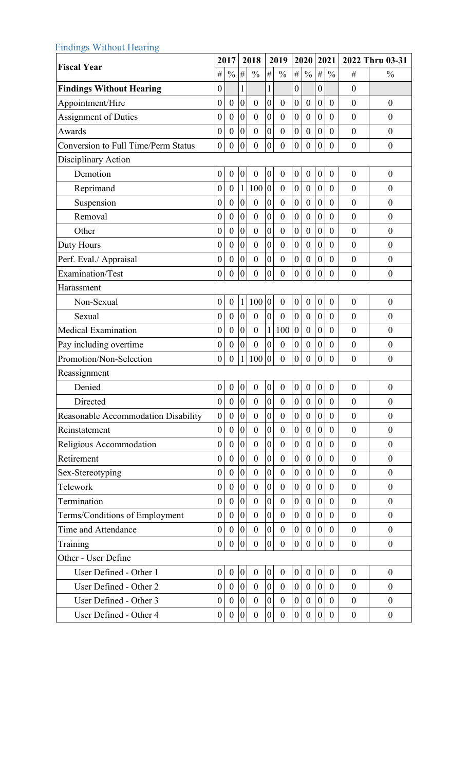| <b>Findings Without Hearing</b>            |                  |                  |                  |                  |                  |                  |                  |                  |                  |                  |                  |                  |
|--------------------------------------------|------------------|------------------|------------------|------------------|------------------|------------------|------------------|------------------|------------------|------------------|------------------|------------------|
| <b>Fiscal Year</b>                         |                  | 2017             |                  | 2018             |                  | 2019             |                  | 2020             |                  | 2021             |                  | 2022 Thru 03-31  |
|                                            | $\#$             | $\frac{0}{0}$    | #                | $\frac{0}{0}$    | $\#$             | $\frac{0}{0}$    | $\#$             | $\frac{0}{0}$    | $\#$             | $\frac{0}{0}$    | #                | $\frac{0}{0}$    |
| <b>Findings Without Hearing</b>            | $\boldsymbol{0}$ |                  | $\mathbf{1}$     |                  | $\mathbf{1}$     |                  | $\boldsymbol{0}$ |                  | $\boldsymbol{0}$ |                  | $\boldsymbol{0}$ |                  |
| Appointment/Hire                           | $\boldsymbol{0}$ | $\boldsymbol{0}$ | $\overline{0}$   | $\boldsymbol{0}$ | $\boldsymbol{0}$ | $\boldsymbol{0}$ | $\boldsymbol{0}$ | $\boldsymbol{0}$ | $\boldsymbol{0}$ | $\theta$         | $\theta$         | $\boldsymbol{0}$ |
| <b>Assignment of Duties</b>                | $\boldsymbol{0}$ | $\boldsymbol{0}$ | $\boldsymbol{0}$ | $\boldsymbol{0}$ | $\boldsymbol{0}$ | $\boldsymbol{0}$ | $\boldsymbol{0}$ | $\boldsymbol{0}$ | $\boldsymbol{0}$ | $\boldsymbol{0}$ | $\boldsymbol{0}$ | $\overline{0}$   |
| Awards                                     | $\boldsymbol{0}$ | $\boldsymbol{0}$ | $\overline{0}$   | $\mathbf{0}$     | $\overline{0}$   | $\boldsymbol{0}$ | $\mathbf{0}$     | $\boldsymbol{0}$ | $\boldsymbol{0}$ | $\boldsymbol{0}$ | $\overline{0}$   | $\boldsymbol{0}$ |
| <b>Conversion to Full Time/Perm Status</b> | $\boldsymbol{0}$ | $\boldsymbol{0}$ | $\mathbf{0}$     | $\mathbf{0}$     | $\overline{0}$   | $\boldsymbol{0}$ | $\mathbf{0}$     | $\boldsymbol{0}$ | $\boldsymbol{0}$ | $\boldsymbol{0}$ | $\boldsymbol{0}$ | $\boldsymbol{0}$ |
| Disciplinary Action                        |                  |                  |                  |                  |                  |                  |                  |                  |                  |                  |                  |                  |
| Demotion                                   | $\boldsymbol{0}$ | $\boldsymbol{0}$ | $\boldsymbol{0}$ | $\boldsymbol{0}$ | $\boldsymbol{0}$ | $\boldsymbol{0}$ | $\boldsymbol{0}$ | $\boldsymbol{0}$ | $\boldsymbol{0}$ | $\boldsymbol{0}$ | $\boldsymbol{0}$ | $\boldsymbol{0}$ |
| Reprimand                                  | $\boldsymbol{0}$ | $\boldsymbol{0}$ | $\mathbf{1}$     | 100              | $\boldsymbol{0}$ | $\boldsymbol{0}$ | $\boldsymbol{0}$ | $\boldsymbol{0}$ | $\boldsymbol{0}$ | $\boldsymbol{0}$ | $\boldsymbol{0}$ | $\overline{0}$   |
| Suspension                                 | $\boldsymbol{0}$ | $\boldsymbol{0}$ | $\boldsymbol{0}$ | $\boldsymbol{0}$ | $\boldsymbol{0}$ | $\boldsymbol{0}$ | $\boldsymbol{0}$ | $\boldsymbol{0}$ | $\boldsymbol{0}$ | $\boldsymbol{0}$ | $\boldsymbol{0}$ | $\overline{0}$   |
| Removal                                    | $\boldsymbol{0}$ | $\boldsymbol{0}$ | $\boldsymbol{0}$ | $\boldsymbol{0}$ | $\boldsymbol{0}$ | $\boldsymbol{0}$ | $\boldsymbol{0}$ | $\boldsymbol{0}$ | $\boldsymbol{0}$ | $\boldsymbol{0}$ | $\boldsymbol{0}$ | $\overline{0}$   |
| Other                                      | $\boldsymbol{0}$ | $\boldsymbol{0}$ | $\mathbf{0}$     | $\boldsymbol{0}$ | $\boldsymbol{0}$ | $\boldsymbol{0}$ | $\boldsymbol{0}$ | $\boldsymbol{0}$ | $\boldsymbol{0}$ | $\boldsymbol{0}$ | $\overline{0}$   | $\overline{0}$   |
| Duty Hours                                 | $\boldsymbol{0}$ | $\boldsymbol{0}$ | $\boldsymbol{0}$ | $\boldsymbol{0}$ | $\boldsymbol{0}$ | $\boldsymbol{0}$ | $\boldsymbol{0}$ | $\boldsymbol{0}$ | $\boldsymbol{0}$ | $\boldsymbol{0}$ | $\overline{0}$   | $\overline{0}$   |
| Perf. Eval./ Appraisal                     | $\boldsymbol{0}$ | $\boldsymbol{0}$ | $\overline{0}$   | $\boldsymbol{0}$ | $\boldsymbol{0}$ | $\boldsymbol{0}$ | $\boldsymbol{0}$ | $\boldsymbol{0}$ | $\boldsymbol{0}$ | $\boldsymbol{0}$ | $\boldsymbol{0}$ | $\boldsymbol{0}$ |
| Examination/Test                           | $\boldsymbol{0}$ | $\boldsymbol{0}$ | $\mathbf{0}$     | $\mathbf{0}$     | $\overline{0}$   | $\boldsymbol{0}$ | $\boldsymbol{0}$ | $\boldsymbol{0}$ | $\overline{0}$   | $\boldsymbol{0}$ | $\overline{0}$   | $\boldsymbol{0}$ |
| Harassment                                 |                  |                  |                  |                  |                  |                  |                  |                  |                  |                  |                  |                  |
| Non-Sexual                                 | $\boldsymbol{0}$ | $\boldsymbol{0}$ | $\mathbf 1$      | 100 0            |                  | $\boldsymbol{0}$ | $\boldsymbol{0}$ | $\boldsymbol{0}$ | $\boldsymbol{0}$ | $\boldsymbol{0}$ | $\boldsymbol{0}$ | $\boldsymbol{0}$ |
| Sexual                                     | $\boldsymbol{0}$ | $\boldsymbol{0}$ | $\boldsymbol{0}$ | $\boldsymbol{0}$ | $\overline{0}$   | $\boldsymbol{0}$ | $\boldsymbol{0}$ | $\overline{0}$   | $\boldsymbol{0}$ | $\theta$         | $\boldsymbol{0}$ | $\boldsymbol{0}$ |
| Medical Examination                        | $\boldsymbol{0}$ | $\boldsymbol{0}$ | $\boldsymbol{0}$ | $\boldsymbol{0}$ | $1\vert$         | 100              | $\boldsymbol{0}$ | $\boldsymbol{0}$ | $\boldsymbol{0}$ | $\boldsymbol{0}$ | $\boldsymbol{0}$ | $\boldsymbol{0}$ |
| Pay including overtime                     | $\boldsymbol{0}$ | $\boldsymbol{0}$ | $\overline{0}$   | $\boldsymbol{0}$ | $\boldsymbol{0}$ | $\boldsymbol{0}$ | $\boldsymbol{0}$ | $\boldsymbol{0}$ | $\boldsymbol{0}$ | $\boldsymbol{0}$ | $\boldsymbol{0}$ | $\boldsymbol{0}$ |
| Promotion/Non-Selection                    | $\boldsymbol{0}$ | $\boldsymbol{0}$ | $\mathbf{1}$     | 100              | $\boldsymbol{0}$ | $\boldsymbol{0}$ | $\boldsymbol{0}$ | $\boldsymbol{0}$ | $\boldsymbol{0}$ | $\boldsymbol{0}$ | $\boldsymbol{0}$ | $\boldsymbol{0}$ |
| Reassignment                               |                  |                  |                  |                  |                  |                  |                  |                  |                  |                  |                  |                  |
| Denied                                     | $\boldsymbol{0}$ | $\boldsymbol{0}$ | $\boldsymbol{0}$ | $\boldsymbol{0}$ | $\boldsymbol{0}$ | $\boldsymbol{0}$ | $\boldsymbol{0}$ | $\boldsymbol{0}$ | $\boldsymbol{0}$ | $\boldsymbol{0}$ | $\boldsymbol{0}$ | $\boldsymbol{0}$ |
| Directed                                   | $\boldsymbol{0}$ | $\boldsymbol{0}$ | $\boldsymbol{0}$ | $\boldsymbol{0}$ | $\boldsymbol{0}$ | $\boldsymbol{0}$ | $\boldsymbol{0}$ | $\boldsymbol{0}$ | $\boldsymbol{0}$ | $\boldsymbol{0}$ | $\boldsymbol{0}$ | $\boldsymbol{0}$ |
| Reasonable Accommodation Disability        | $\boldsymbol{0}$ | $\boldsymbol{0}$ | $\overline{0}$   | $\mathbf{0}$     | $\boldsymbol{0}$ | $\boldsymbol{0}$ | $\boldsymbol{0}$ | $\boldsymbol{0}$ | $\boldsymbol{0}$ | $\boldsymbol{0}$ | $\overline{0}$   | $\overline{0}$   |
| Reinstatement                              | $\boldsymbol{0}$ | $\boldsymbol{0}$ | $\boldsymbol{0}$ | $\mathbf{0}$     | $\boldsymbol{0}$ | $\boldsymbol{0}$ | $\boldsymbol{0}$ | $\boldsymbol{0}$ | $\boldsymbol{0}$ | $\theta$         | $\boldsymbol{0}$ | $\boldsymbol{0}$ |
| Religious Accommodation                    | $\boldsymbol{0}$ | $\boldsymbol{0}$ | $\mathbf{0}$     | $\mathbf{0}$     | $\overline{0}$   | $\boldsymbol{0}$ | $\boldsymbol{0}$ | $\boldsymbol{0}$ | $\boldsymbol{0}$ | $\boldsymbol{0}$ | $\overline{0}$   | $\mathbf{0}$     |
| Retirement                                 | $\boldsymbol{0}$ | $\overline{0}$   | $\mathbf{0}$     | $\boldsymbol{0}$ | $\overline{0}$   | $\boldsymbol{0}$ | $\overline{0}$   | $\overline{0}$   | $\boldsymbol{0}$ | $\theta$         | $\boldsymbol{0}$ | $\boldsymbol{0}$ |
| Sex-Stereotyping                           | $\boldsymbol{0}$ | $\boldsymbol{0}$ | $\boldsymbol{0}$ | $\boldsymbol{0}$ | $\boldsymbol{0}$ | $\boldsymbol{0}$ | $\boldsymbol{0}$ | $\boldsymbol{0}$ | $\boldsymbol{0}$ | $\boldsymbol{0}$ | $\boldsymbol{0}$ | $\boldsymbol{0}$ |
| Telework                                   | $\boldsymbol{0}$ | $\mathbf{0}$     | $\overline{0}$   | $\boldsymbol{0}$ | $\boldsymbol{0}$ | $\boldsymbol{0}$ | $\boldsymbol{0}$ | $\boldsymbol{0}$ | $\boldsymbol{0}$ | $\boldsymbol{0}$ | $\boldsymbol{0}$ | $\mathbf{0}$     |
| Termination                                | $\boldsymbol{0}$ | $\boldsymbol{0}$ | $\boldsymbol{0}$ | $\boldsymbol{0}$ | $\boldsymbol{0}$ | $\boldsymbol{0}$ | $\boldsymbol{0}$ | $\boldsymbol{0}$ | $\boldsymbol{0}$ | $\theta$         | $\boldsymbol{0}$ | $\boldsymbol{0}$ |
| Terms/Conditions of Employment             | $\boldsymbol{0}$ | $\boldsymbol{0}$ | $\mathbf{0}$     | $\boldsymbol{0}$ | $\boldsymbol{0}$ | $\boldsymbol{0}$ | $\boldsymbol{0}$ | $\boldsymbol{0}$ | $\boldsymbol{0}$ | $\boldsymbol{0}$ | $\overline{0}$   | $\overline{0}$   |
| Time and Attendance                        | $\boldsymbol{0}$ | $\boldsymbol{0}$ | $\mathbf{0}$     | $\boldsymbol{0}$ | $\boldsymbol{0}$ | $\boldsymbol{0}$ | $\boldsymbol{0}$ | $\boldsymbol{0}$ | $\boldsymbol{0}$ | $\boldsymbol{0}$ | $\overline{0}$   | $\boldsymbol{0}$ |
| Training                                   | $\boldsymbol{0}$ | $\boldsymbol{0}$ | $\boldsymbol{0}$ | $\boldsymbol{0}$ | $\overline{0}$   | $\boldsymbol{0}$ | $\mathbf{0}$     | $\boldsymbol{0}$ | $\boldsymbol{0}$ | $\overline{0}$   | $\boldsymbol{0}$ | $\boldsymbol{0}$ |
| Other - User Define                        |                  |                  |                  |                  |                  |                  |                  |                  |                  |                  |                  |                  |
| User Defined - Other 1                     | $\boldsymbol{0}$ | $\boldsymbol{0}$ | $\boldsymbol{0}$ | $\boldsymbol{0}$ | $\boldsymbol{0}$ | $\boldsymbol{0}$ | $\boldsymbol{0}$ | $\boldsymbol{0}$ | $\boldsymbol{0}$ | $\boldsymbol{0}$ | $\boldsymbol{0}$ | $\boldsymbol{0}$ |
| User Defined - Other 2                     | $\boldsymbol{0}$ | $\boldsymbol{0}$ | $\overline{0}$   | $\mathbf{0}$     | $\overline{0}$   | $\boldsymbol{0}$ | $\mathbf{0}$     | $\boldsymbol{0}$ | $\mathbf{0}$     | $\overline{0}$   | $\boldsymbol{0}$ | $\overline{0}$   |
| User Defined - Other 3                     | $\boldsymbol{0}$ | $\overline{0}$   | $\boldsymbol{0}$ | $\boldsymbol{0}$ | $\overline{0}$   | $\boldsymbol{0}$ | $\boldsymbol{0}$ | $\mathbf{0}$     | $\boldsymbol{0}$ | $\boldsymbol{0}$ | $\boldsymbol{0}$ | $\boldsymbol{0}$ |
| User Defined - Other 4                     | $\boldsymbol{0}$ | $\boldsymbol{0}$ | $\boldsymbol{0}$ | $\boldsymbol{0}$ | $\boldsymbol{0}$ | $\boldsymbol{0}$ | $\boldsymbol{0}$ | $\boldsymbol{0}$ | $\boldsymbol{0}$ | $\boldsymbol{0}$ | $\boldsymbol{0}$ | $\boldsymbol{0}$ |